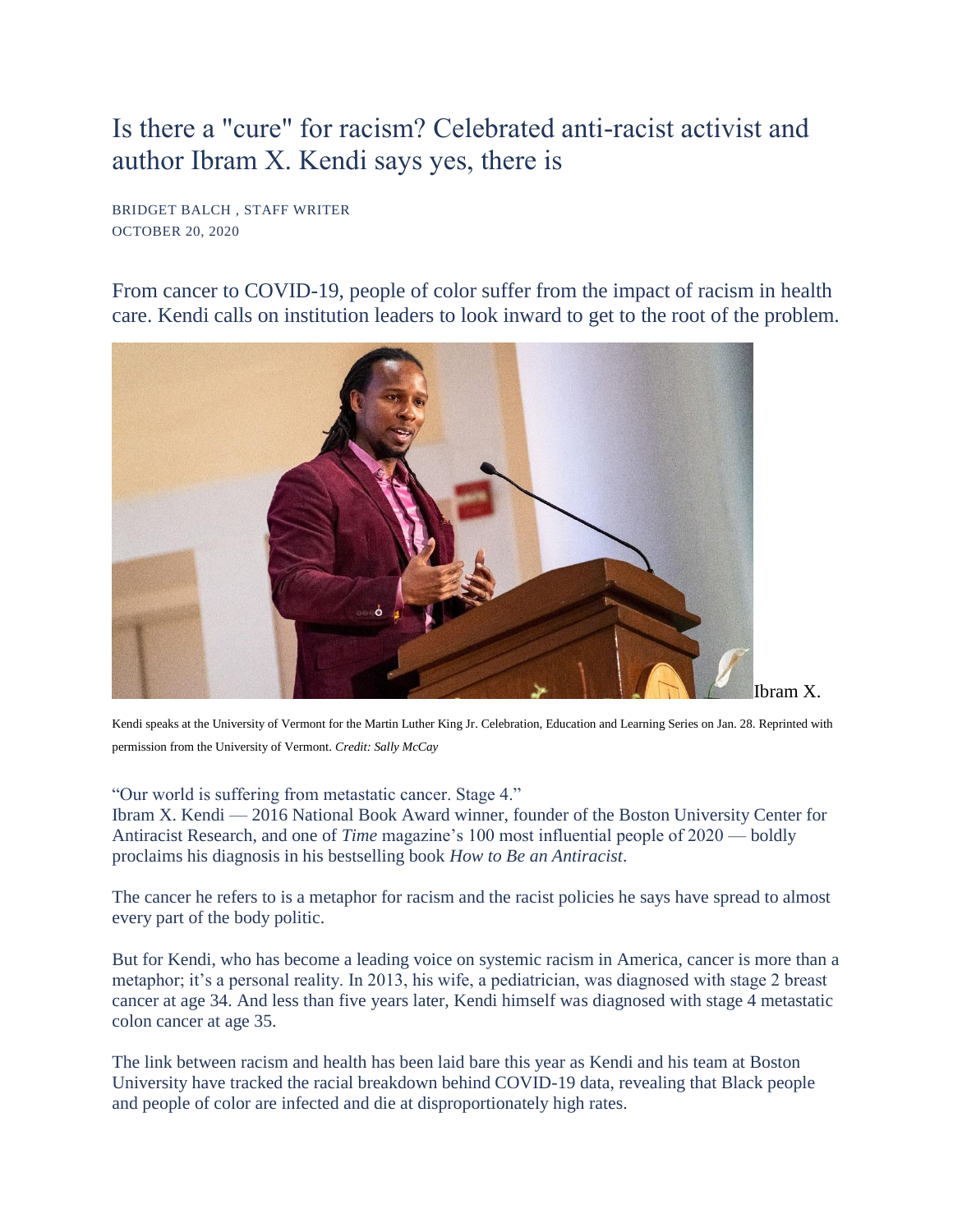## Is there a "cure" for racism? Celebrated anti-racist activist and author Ibram X. Kendi says yes, there is

BRIDGET BALCH , STAFF WRITER OCTOBER 20, 2020

From cancer to COVID-19, people of color suffer from the impact of racism in health care. Kendi calls on institution leaders to look inward to get to the root of the problem.



Kendi speaks at the University of Vermont for the Martin Luther King Jr. Celebration, Education and Learning Series on Jan. 28. Reprinted with permission from the University of Vermont. *Credit: Sally McCay* 

"Our world is suffering from metastatic cancer. Stage 4."

Ibram X. Kendi — 2016 National Book Award winner, founder of the Boston University Center for Antiracist Research, and one of *Time* magazine's 100 most influential people of 2020 — boldly proclaims his diagnosis in his bestselling book *How to Be an Antiracist*.

The cancer he refers to is a metaphor for racism and the racist policies he says have spread to almost every part of the body politic.

But for Kendi, who has become a leading voice on systemic racism in America, cancer is more than a metaphor; it's a personal reality. In 2013, his wife, a pediatrician, was diagnosed with stage 2 breast cancer at age 34. And less than five years later, Kendi himself was diagnosed with stage 4 metastatic colon cancer at age 35.

The link between racism and health has been laid bare this year as Kendi and his team at Boston University have tracked the racial breakdown behind COVID-19 data, revealing that Black people and people of color are infected and die at disproportionately high rates.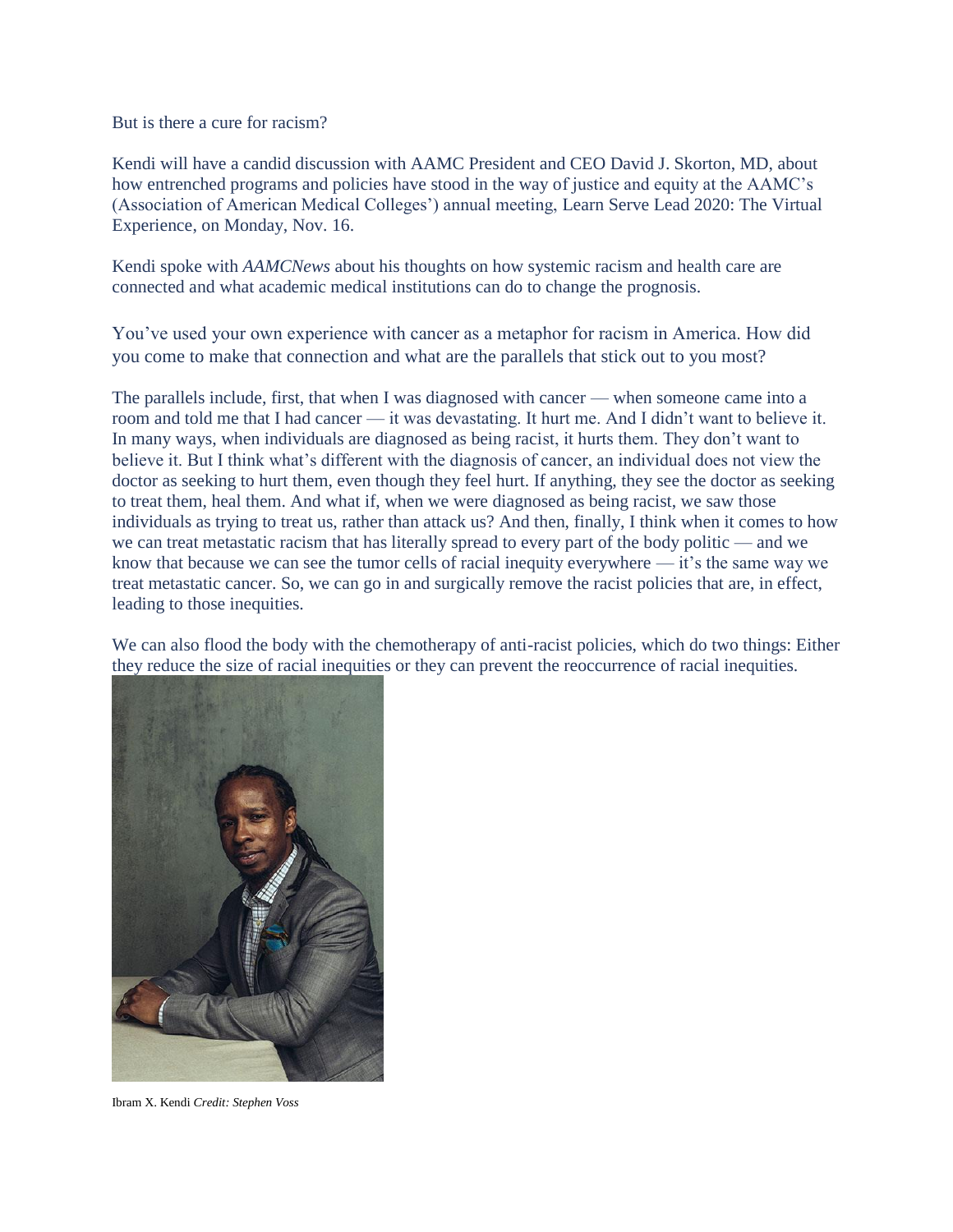But is there a cure for racism?

Kendi will have a candid discussion with AAMC President and CEO David J. Skorton, MD, about how entrenched programs and policies have stood in the way of justice and equity at the AAMC's (Association of American Medical Colleges') annual meeting, [Learn Serve Lead 2020: The Virtual](http://www.cvent.com/events/learn-serve-lead-2020-the-virtual-experience/event-summary-91e0769fce644654802a6a63de8b32d4.aspx?gclid=CjwKCAjwlbr8BRA0EiwAnt4MToRA4t7Xmh8wXm6o8POk4n2MJHipCE7MWfK4aTBim8XAcnsnCWqC4BoCJ3QQAvD_BwE)  [Experience,](http://www.cvent.com/events/learn-serve-lead-2020-the-virtual-experience/event-summary-91e0769fce644654802a6a63de8b32d4.aspx?gclid=CjwKCAjwlbr8BRA0EiwAnt4MToRA4t7Xmh8wXm6o8POk4n2MJHipCE7MWfK4aTBim8XAcnsnCWqC4BoCJ3QQAvD_BwE) on Monday, Nov. 16.

Kendi spoke with *AAMCNews* about his thoughts on how systemic racism and health care are connected and what academic medical institutions can do to change the prognosis.

You've used your own experience with cancer as a metaphor for racism in America. How did you come to make that connection and what are the parallels that stick out to you most?

The parallels include, first, that when I was diagnosed with cancer — when someone came into a room and told me that I had cancer — it was devastating. It hurt me. And I didn't want to believe it. In many ways, when individuals are diagnosed as being racist, it hurts them. They don't want to believe it. But I think what's different with the diagnosis of cancer, an individual does not view the doctor as seeking to hurt them, even though they feel hurt. If anything, they see the doctor as seeking to treat them, heal them. And what if, when we were diagnosed as being racist, we saw those individuals as trying to treat us, rather than attack us? And then, finally, I think when it comes to how we can treat metastatic racism that has literally spread to every part of the body politic — and we know that because we can see the tumor cells of racial inequity everywhere — it's the same way we treat metastatic cancer. So, we can go in and surgically remove the racist policies that are, in effect, leading to those inequities.

We can also flood the body with the chemotherapy of anti-racist policies, which do two things: Either they reduce the size of racial inequities or they can prevent the reoccurrence of racial inequities.



Ibram X. Kendi *Credit: Stephen Voss*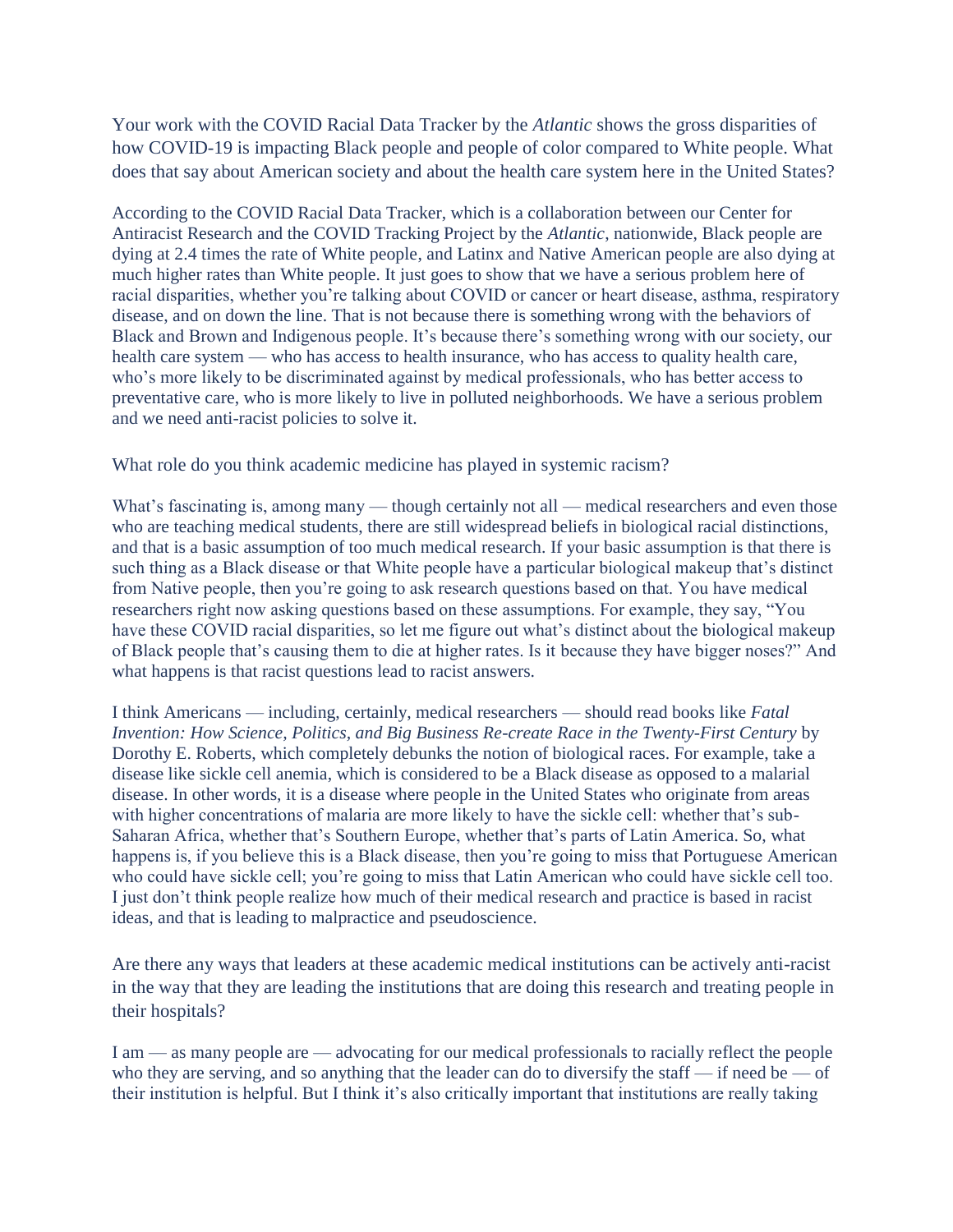Your work with the COVID Racial Data Tracker by the *Atlantic* shows the gross disparities of how COVID-19 is impacting Black people and people of color compared to White people. What does that say about American society and about the health care system here in the United States?

According to the COVID Racial Data Tracker, which is a collaboration between our Center for Antiracist Research and the COVID Tracking Project by the *Atlantic*, nationwide, Black people are dying at 2.4 times the rate of White people, and Latinx and Native American people are also dying at much higher rates than White people. It just goes to show that we have a serious problem here of racial disparities, whether you're talking about COVID or cancer or heart disease, asthma, respiratory disease, and on down the line. That is not because there is something wrong with the behaviors of Black and Brown and Indigenous people. It's because there's something wrong with our society, our health care system — who has access to health insurance, who has access to quality health care, who's more likely to be discriminated against by medical professionals, who has better access to preventative care, who is more likely to live in polluted neighborhoods. We have a serious problem and we need anti-racist policies to solve it.

What role do you think academic medicine has played in systemic racism?

What's fascinating is, among many — though certainly not all — medical researchers and even those who are teaching medical students, there are still widespread beliefs in biological racial distinctions, and that is a basic assumption of too much medical research. If your basic assumption is that there is such thing as a Black disease or that White people have a particular biological makeup that's distinct from Native people, then you're going to ask research questions based on that. You have medical researchers right now asking questions based on these assumptions. For example, they say, "You have these COVID racial disparities, so let me figure out what's distinct about the biological makeup of Black people that's causing them to die at higher rates. Is it because they have bigger noses?" And what happens is that racist questions lead to racist answers.

I think Americans — including, certainly, medical researchers — should read books like *Fatal Invention: How Science, Politics, and Big Business Re-create Race in the Twenty-First Century* by Dorothy E. Roberts, which completely debunks the notion of biological races. For example, take a disease like sickle cell anemia, which is considered to be a Black disease as opposed to a malarial disease. In other words, it is a disease where people in the United States who originate from areas with higher concentrations of malaria are more likely to have the sickle cell: whether that's sub-Saharan Africa, whether that's Southern Europe, whether that's parts of Latin America. So, what happens is, if you believe this is a Black disease, then you're going to miss that Portuguese American who could have sickle cell; you're going to miss that Latin American who could have sickle cell too. I just don't think people realize how much of their medical research and practice is based in racist ideas, and that is leading to malpractice and pseudoscience.

Are there any ways that leaders at these academic medical institutions can be actively anti-racist in the way that they are leading the institutions that are doing this research and treating people in their hospitals?

I am — as many people are — advocating for our medical professionals to racially reflect the people who they are serving, and so anything that the leader can do to diversify the staff — if need be — of their institution is helpful. But I think it's also critically important that institutions are really taking